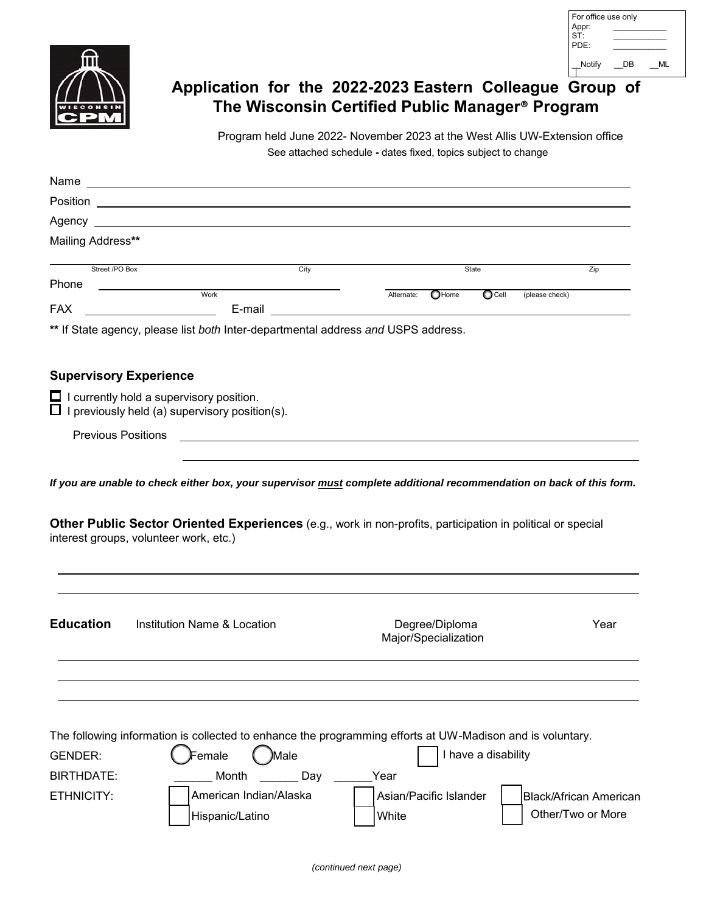

| For office use only<br>Appr:<br>ST:<br>PDE: |    |    |
|---------------------------------------------|----|----|
| Notify                                      | DB | ML |

# **Application for the 2022-2023 Eastern Colleague Group of The Wisconsin Certified Public Manager® Program**

 Program held June 2022- November 2023 at the West Allis UW-Extension office See attached schedule **-** dates fixed, topics subject to change

| Name                                | <u> 1988 - Andrea Branden, amerikan basar personal dan berasal dalam pengaran basar personal dan berasal dan ber</u>                                 |      |                                        |                                   |
|-------------------------------------|------------------------------------------------------------------------------------------------------------------------------------------------------|------|----------------------------------------|-----------------------------------|
|                                     |                                                                                                                                                      |      |                                        |                                   |
|                                     |                                                                                                                                                      |      |                                        |                                   |
| Mailing Address**                   |                                                                                                                                                      |      |                                        |                                   |
| Street /PO Box                      |                                                                                                                                                      | City | State                                  | Zip                               |
| <b>Phone</b>                        | <u> 1989 - Johann Stoff, Amerikaansk politiker (</u><br>Work <b>Work</b>                                                                             |      | $Q$ Home<br>Alternate:                 | $\bigcirc$ Cell<br>(please check) |
| <b>FAX</b>                          |                                                                                                                                                      |      |                                        |                                   |
|                                     | ** If State agency, please list both Inter-departmental address and USPS address.                                                                    |      |                                        |                                   |
|                                     |                                                                                                                                                      |      |                                        |                                   |
| <b>Supervisory Experience</b>       |                                                                                                                                                      |      |                                        |                                   |
|                                     | $\Box$ I currently hold a supervisory position.                                                                                                      |      |                                        |                                   |
|                                     | $\Box$ I previously held (a) supervisory position(s).                                                                                                |      |                                        |                                   |
| <b>Previous Positions</b>           |                                                                                                                                                      |      |                                        |                                   |
|                                     |                                                                                                                                                      |      |                                        |                                   |
|                                     | Other Public Sector Oriented Experiences (e.g., work in non-profits, participation in political or special<br>interest groups, volunteer work, etc.) |      |                                        |                                   |
| <b>Education</b>                    | Institution Name & Location                                                                                                                          |      | Degree/Diploma<br>Major/Specialization | Year                              |
| <b>GENDER:</b><br><b>BIRTHDATE:</b> | The following information is collected to enhance the programming efforts at UW-Madison and is voluntary.<br>)Male<br>Female<br>Month                | Day  | I have a disability<br>Year            |                                   |
| ETHNICITY:                          | American Indian/Alaska                                                                                                                               |      | Asian/Pacific Islander                 | <b>Black/African American</b>     |
|                                     | Hispanic/Latino                                                                                                                                      |      | White                                  | Other/Two or More                 |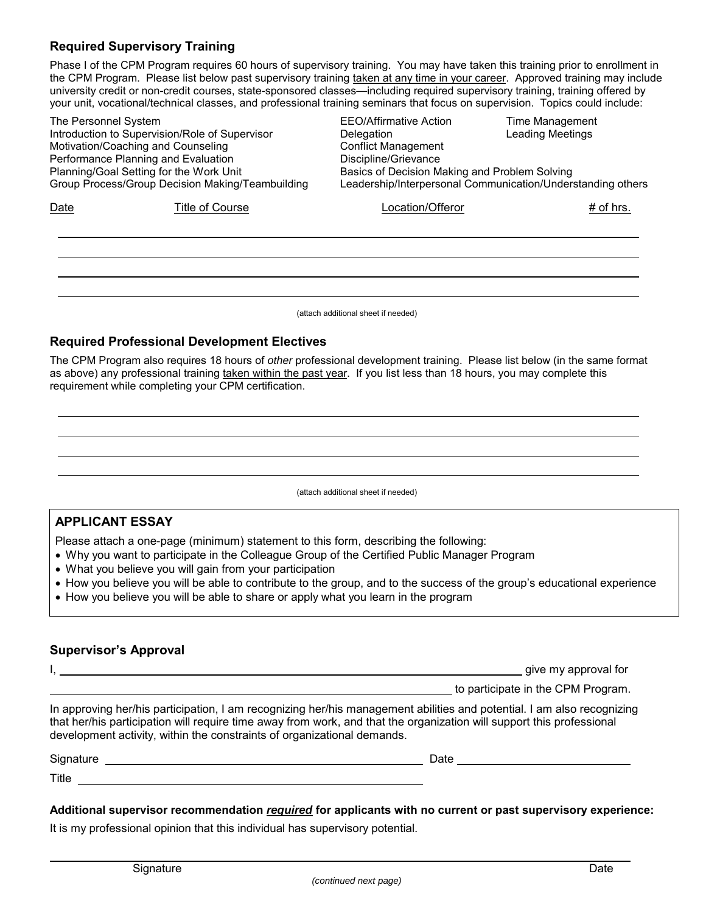## **Required Supervisory Training**

Phase I of the CPM Program requires 60 hours of supervisory training. You may have taken this training prior to enrollment in the CPM Program. Please list below past supervisory training taken at any time in your career. Approved training may include university credit or non-credit courses, state-sponsored classes—including required supervisory training, training offered by your unit, vocational/technical classes, and professional training seminars that focus on supervision. Topics could include:

The Personnel System EEO/Affirmative Action Time Management Introduction to Supervision/Role of Supervisor Delegation<br>
Motivation/Coaching and Counseling Conflict Management Motivation/Coaching and Counseling Performance Planning and Evaluation **Discipline/Grievance**<br>
Planning/Goal Setting for the Work Unit Basics of Decision M Planning/Goal Setting for the Work Unit Basics of Decision Making and Problem Solving<br>Group Process/Group Decision Making/Teambuilding Leadership/Interpersonal Communication/Unders

Leadership/Interpersonal Communication/Understanding others

Date Title of Course **Location/Offeror** # of hrs.

(attach additional sheet if needed)

## **Required Professional Development Electives**

The CPM Program also requires 18 hours of *other* professional development training. Please list below (in the same format as above) any professional training taken within the past year. If you list less than 18 hours, you may complete this requirement while completing your CPM certification.

| (attach additional sheet if needed)                                                                                     |  |
|-------------------------------------------------------------------------------------------------------------------------|--|
| <b>APPLICANT ESSAY</b>                                                                                                  |  |
| Please attach a one-page (minimum) statement to this form, describing the following:                                    |  |
| • Why you want to participate in the Colleague Group of the Certified Public Manager Program                            |  |
| • What you believe you will gain from your participation                                                                |  |
| • How you believe you will be able to contribute to the group, and to the success of the group's educational experience |  |

• How you believe you will be able to share or apply what you learn in the program

#### **Supervisor's Approval**

I, que my approval for

to participate in the CPM Program.

In approving her/his participation, I am recognizing her/his management abilities and potential. I am also recognizing that her/his participation will require time away from work, and that the organization will support this professional development activity, within the constraints of organizational demands.

| Sinn.<br>. . | ⊃al⊏ |
|--------------|------|
| <b>Title</b> |      |

#### **Additional supervisor recommendation** *required* **for applicants with no current or past supervisory experience:**

It is my professional opinion that this individual has supervisory potential.